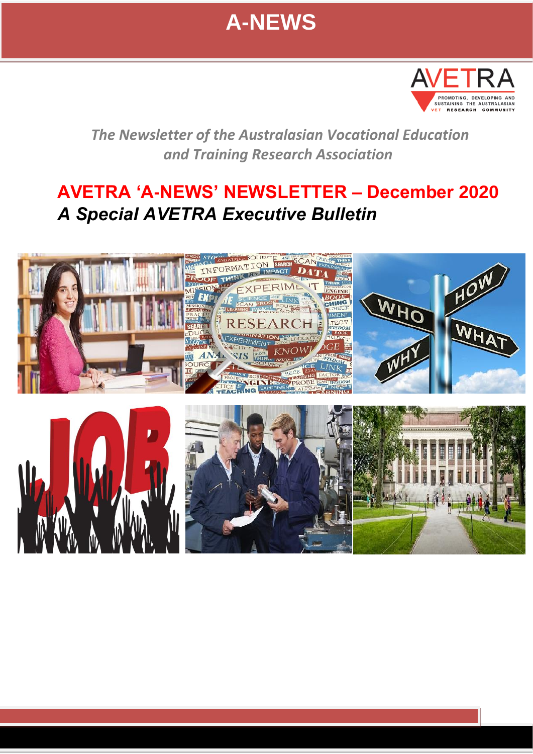



*The Newsletter of the Australasian Vocational Education and Training Research Association* 

## **AVETRA 'A-NEWS' NEWSLETTER – December 2020** *A Special AVETRA Executive Bulletin*

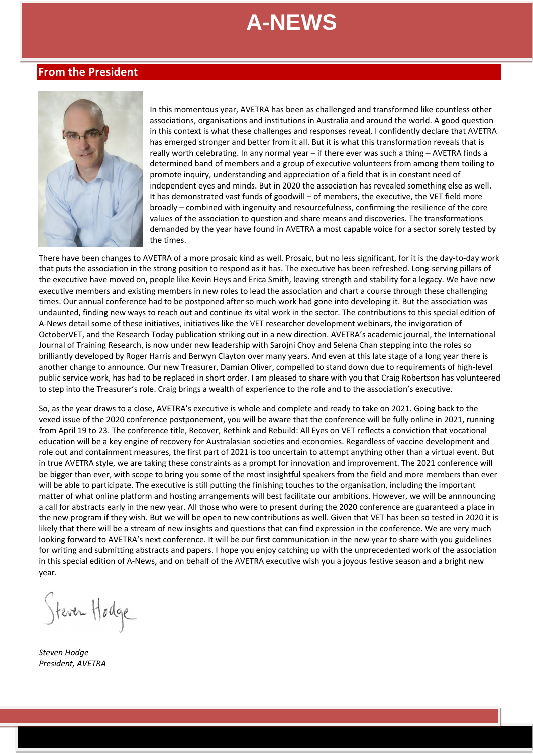### **From the President**



In this momentous year, AVETRA has been as challenged and transformed like countless other associations, organisations and institutions in Australia and around the world. A good question in this context is what these challenges and responses reveal. I confidently declare that AVETRA has emerged stronger and better from it all. But it is what this transformation reveals that is really worth celebrating. In any normal year – if there ever was such a thing – AVETRA finds a determined band of members and a group of executive volunteers from among them toiling to promote inquiry, understanding and appreciation of a field that is in constant need of independent eyes and minds. But in 2020 the association has revealed something else as well. It has demonstrated vast funds of goodwill – of members, the executive, the VET field more broadly – combined with ingenuity and resourcefulness, confirming the resilience of the core values of the association to question and share means and discoveries. The transformations demanded by the year have found in AVETRA a most capable voice for a sector sorely tested by the times.

There have been changes to AVETRA of a more prosaic kind as well. Prosaic, but no less significant, for it is the day-to-day work that puts the association in the strong position to respond as it has. The executive has been refreshed. Long-serving pillars of the executive have moved on, people like Kevin Heys and Erica Smith, leaving strength and stability for a legacy. We have new executive members and existing members in new roles to lead the association and chart a course through these challenging times. Our annual conference had to be postponed after so much work had gone into developing it. But the association was undaunted, finding new ways to reach out and continue its vital work in the sector. The contributions to this special edition of A-News detail some of these initiatives, initiatives like the VET researcher development webinars, the invigoration of OctoberVET, and the Research Today publication striking out in a new direction. AVETRA's academic journal, the International Journal of Training Research, is now under new leadership with Sarojni Choy and Selena Chan stepping into the roles so brilliantly developed by Roger Harris and Berwyn Clayton over many years. And even at this late stage of a long year there is another change to announce. Our new Treasurer, Damian Oliver, compelled to stand down due to requirements of high-level public service work, has had to be replaced in short order. I am pleased to share with you that Craig Robertson has volunteered to step into the Treasurer's role. Craig brings a wealth of experience to the role and to the association's executive.

So, as the year draws to a close, AVETRA's executive is whole and complete and ready to take on 2021. Going back to the vexed issue of the 2020 conference postponement, you will be aware that the conference will be fully online in 2021, running from April 19 to 23. The conference title, Recover, Rethink and Rebuild: All Eyes on VET reflects a conviction that vocational education will be a key engine of recovery for Australasian societies and economies. Regardless of vaccine development and role out and containment measures, the first part of 2021 is too uncertain to attempt anything other than a virtual event. But in true AVETRA style, we are taking these constraints as a prompt for innovation and improvement. The 2021 conference will be bigger than ever, with scope to bring you some of the most insightful speakers from the field and more members than ever will be able to participate. The executive is still putting the finishing touches to the organisation, including the important matter of what online platform and hosting arrangements will best facilitate our ambitions. However, we will be annnouncing a call for abstracts early in the new year. All those who were to present during the 2020 conference are guaranteed a place in the new program if they wish. But we will be open to new contributions as well. Given that VET has been so tested in 2020 it is likely that there will be a stream of new insights and questions that can find expression in the conference. We are very much looking forward to AVETRA's next conference. It will be our first communication in the new year to share with you guidelines for writing and submitting abstracts and papers. I hope you enjoy catching up with the unprecedented work of the association in this special edition of A-News, and on behalf of the AVETRA executive wish you a joyous festive season and a bright new year.

Steven Hodge

*Steven Hodge President, AVETRA*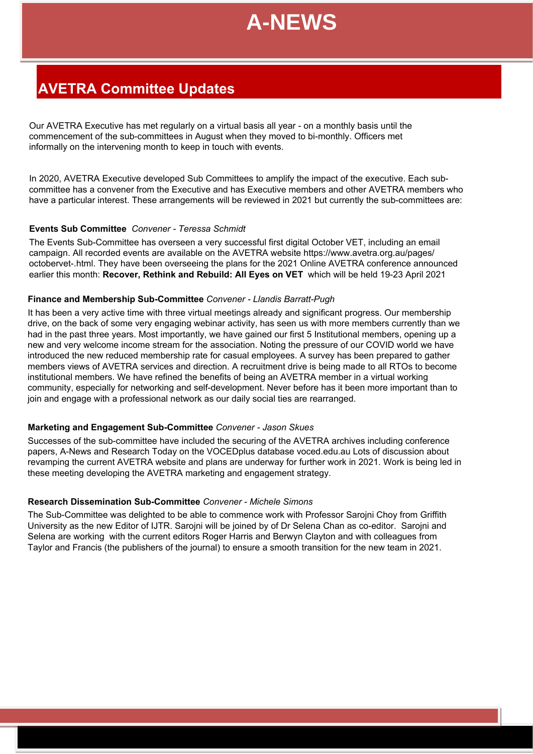

## **AVETRA Committee Updates**

Our AVETRA Executive has met regularly on a virtual basis all year - on a monthly basis until the commencement of the sub-committees in August when they moved to bi-monthly. Officers met informally on the intervening month to keep in touch with events. **es**

In 2020, AVETRA Executive developed Sub Committees to amplify the impact of the executive. Each subcommittee has a convener from the Executive and has Executive members and other AVETRA members who have a particular interest. These arrangements will be reviewed in 2021 but currently the sub-committees are:

#### **Events Sub Committee** *Convener - Teressa Schmidt*

The Events Sub-Committee has overseen a very successful first digital October VET, including an email campaign. All recorded events are available on the AVETRA website https://www.avetra.org.au/pages/ octobervet-.html. They have been overseeing the plans for the 2021 Online AVETRA conference announced earlier this month: **Recover, Rethink and Rebuild: All Eyes on VET** which will be held 19-23 April 2021

#### **Finance and Membership Sub-Committee** *Convener - Llandis Barratt-Pugh*

It has been a very active time with three virtual meetings already and significant progress. Our membership drive, on the back of some very engaging webinar activity, has seen us with more members currently than we had in the past three years. Most importantly, we have gained our first 5 Institutional members, opening up a new and very welcome income stream for the association. Noting the pressure of our COVID world we have introduced the new reduced membership rate for casual employees. A survey has been prepared to gather members views of AVETRA services and direction. A recruitment drive is being made to all RTOs to become institutional members. We have refined the benefits of being an AVETRA member in a virtual working community, especially for networking and self-development. Never before has it been more important than to join and engage with a professional network as our daily social ties are rearranged.

#### **Marketing and Engagement Sub-Committee** *Convener - Jason Skues*

Successes of the sub-committee have included the securing of the AVETRA archives including conference papers, A-News and Research Today on the VOCEDplus database voced.edu.au Lots of discussion about revamping the current AVETRA website and plans are underway for further work in 2021. Work is being led in these meeting developing the AVETRA marketing and engagement strategy.

#### **Research Dissemination Sub-Committee** *Convener - Michele Simons*

The Sub-Committee was delighted to be able to commence work with Professor Sarojni Choy from Griffith University as the new Editor of IJTR. Sarojni will be joined by of Dr Selena Chan as co-editor. Sarojni and Selena are working with the current editors Roger Harris and Berwyn Clayton and with colleagues from Taylor and Francis (the publishers of the journal) to ensure a smooth transition for the new team in 2021.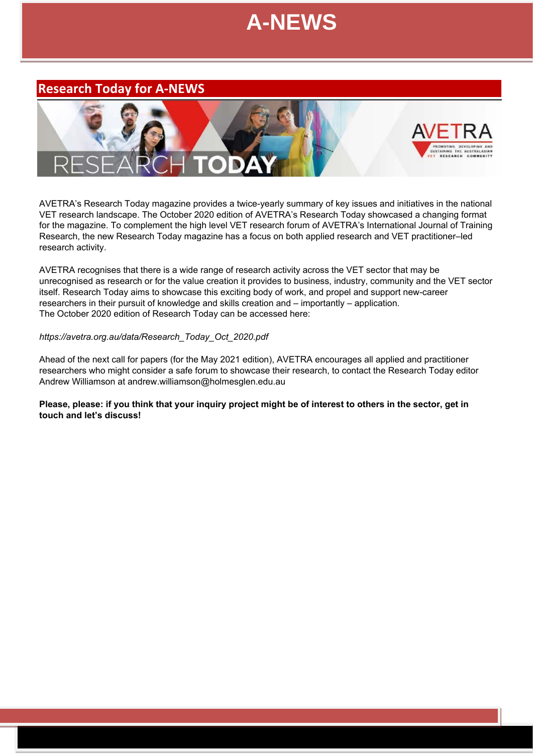**June 2012**

## **Research Today for A-NEWS**



AVETRA's Research Today magazine provides a twice-yearly summary of key issues and initiatives in the national VET research landscape. The October 2020 edition of AVETRA's Research Today showcased a changing format for the magazine. To complement the high level VET research forum of AVETRA's International Journal of Training Research, the new Research Today magazine has a focus on both applied research and VET practitioner–led research activity.

AVETRA recognises that there is a wide range of research activity across the VET sector that may be unrecognised as research or for the value creation it provides to business, industry, community and the VET sector itself. Research Today aims to showcase this exciting body of work, and propel and support new-career researchers in their pursuit of knowledge and skills creation and – importantly – application. The October 2020 edition of Research Today can be accessed here:

#### *https://avetra.org.au/data/Research\_Today\_Oct\_2020.pdf*

Ahead of the next call for papers (for the May 2021 edition), AVETRA encourages all applied and practitioner researchers who might consider a safe forum to showcase their research, to contact the Research Today editor Andrew Williamson at andrew.williamson@holmesglen.edu.au

**Please, please: if you think that your inquiry project might be of interest to others in the sector, get in touch and let's discuss!**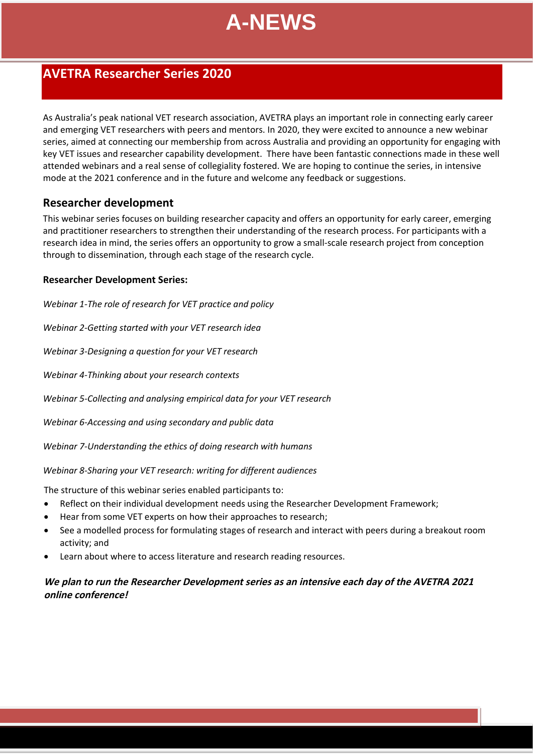## **AVETRA Researcher Series 2020 June 2012**

As Australia's peak national VET research association, AVETRA plays an important role in connecting early career and emerging VET researchers with peers and mentors. In 2020, they were excited to announce a new webinar series, aimed at connecting our membership from across Australia and providing an opportunity for engaging with key VET issues and researcher capability development. There have been fantastic connections made in these well attended webinars and a real sense of collegiality fostered. We are hoping to continue the series, in intensive mode at the 2021 conference and in the future and welcome any feedback or suggestions.

### **Researcher development**

This webinar series focuses on building researcher capacity and offers an opportunity for early career, emerging and practitioner researchers to strengthen their understanding of the research process. For participants with a research idea in mind, the series offers an opportunity to grow a small-scale r[esearc](https://www.youtube.com/watch?v=O61armqlELQ&t=4s)h project from conception through to dissemination, through each stage of the research cycle.

### **Researcher Development Series:**

*Webinar 1-The role of research for VET practice and policy*

*[Webinar 2-Getting started with your VET research idea](https://www.youtube.com/watch?v=jQQn16s716U)*

*Webinar 3-Designing a question for your VET resear[ch](https://www.youtube.com/watch?v=qI9Uryqsa2o&t=1376s)*

*Webinar 4-Thinking about your research contexts*

*Webinar 5-Collecting and analysing empirical data for your VET research*

*Webinar 6-Accessing and using secondary and public data*

*Webinar 7-Understanding the ethics of doing research with humans*

*Webinar 8-Sharing your VET research: writing for different audiences*

The structure of this webinar series enabled participants to:

- Reflect on their individual development needs using the Researcher Development Framework;
- Hear from some VET experts on how their approaches to research;
- See a modelled process for formulating stages of research and interact with peers during a breakout room activity; and
- Learn about where to access literature and research reading resources.

### **We plan to run the Researcher Development series as an intensive each day of the AVETRA 2021 online conference!**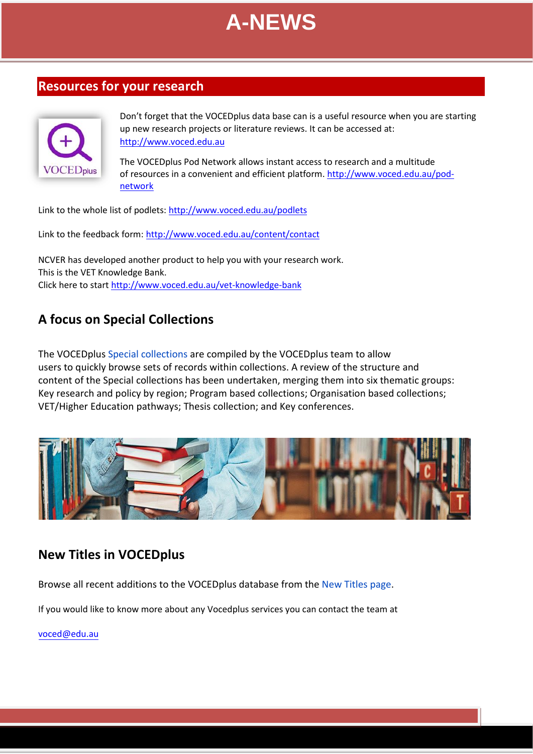

## **Resources for your research**



Don't forget that the VOCEDplus data base can is a useful resource when you are starting up new research projects or literature reviews. It can be accessed at: http:[//www.voced.edu.au](http://www.voced.edu.au/)

The VOCEDplus Pod Network allows instant access to research and a multitude of resources in a convenient and efficient platform. htt[p://www.voced.edu.au/pod](http://www.voced.edu.au/pod-network)netw[ork](http://www.voced.edu.au/pod-network)

Link to the whole list of podlets:<http://www.voced.edu.au/podlets>

Link to the feedback form:<http://www.voced.edu.au/content/contact>

NCVER has developed another product to help you with your research work. This is the VET Knowledge Bank. Click here to start<http://www.voced.edu.au/vet-knowledge-bank>

## **A focus on Special Collections**

The VOCEDplus [Special collections](https://www.voced.edu.au/special-collections) are compiled by the VOCEDplus team to allow users to quickly browse sets of records within collections. A review of the structure and content of the Special collections has been undertaken, merging them into six thematic groups: Key research and policy by region; Program based collections; Organisation based collections; VET/Higher Education pathways; Thesis collection; and Key conferences.



## **New Titles in VOCEDplus**

Browse all recent additions to the VOCEDplus database from the [New Titles page.](https://www.voced.edu.au/newItemsAdded)

If you would like to know more about any Vocedplus services you can contact the team a[t](mailto:voced@edu.au)

voced@edu.au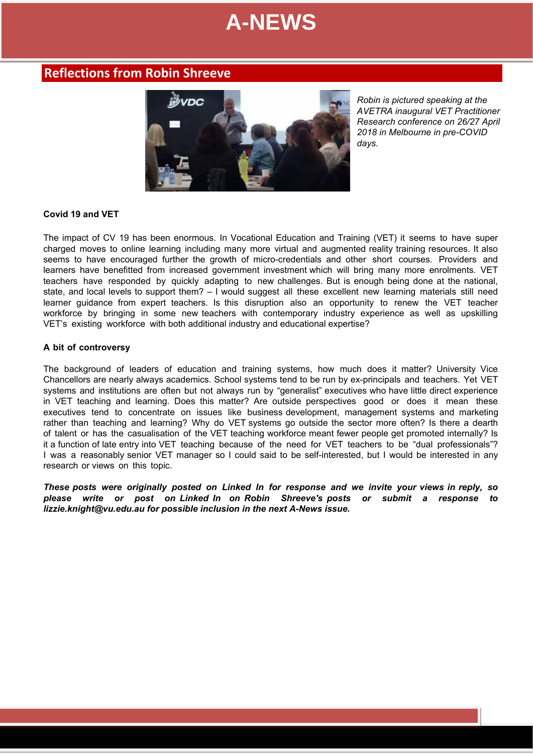## **Reflections from Robin Shreeve**



*Robin is pictured speaking at the AVETRA inaugural VET Practitioner Research conference on 26/27 April 2018 in Melbourne in pre-COVID days.*

#### **Covid 19 and VET**

The impact of CV 19 has been enormous. In Vocational Education and Training (VET) it seems to have super charged moves to online learning including many more virtual and augmented reality training resources. It also seems to have encouraged further the growth of micro-credentials and other short courses. Providers and learners have benefitted from increased government investment which will bring many more enrolments. VET teachers have responded by quickly adapting to new challenges. But is enough being done at the national, state, and local levels to support them? – I would suggest all these excellent new learning materials still need learner guidance from expert teachers. Is this disruption also an opportunity to renew the VET teacher workforce by bringing in some new teachers with contemporary industry experience as well as upskilling VET's existing workforce with both additional industry and educational expertise?

#### **A bit of controversy**

The background of leaders of education and training systems, how much does it matter? University Vice Chancellors are nearly always academics. School systems tend to be run by ex-principals and teachers. Yet VET systems and institutions are often but not always run by "generalist" executives who have little direct experience in VET teaching and learning. Does this matter? Are outside perspectives good or does it mean these executives tend to concentrate on issues like business development, management systems and marketing rather than teaching and learning? Why do VET systems go outside the sector more often? Is there a dearth of talent or has the casualisation of the VET teaching workforce meant fewer people get promoted internally? Is it a function of late entry into VET teaching because of the need for VET teachers to be "dual professionals"? I was a reasonably senior VET manager so I could said to be self-interested, but I would be interested in any research or views on this topic.

*These posts were originally posted on Linked In for response and we invite your views in reply, so please write or post on Linked In on Robin Shreeve's posts or submit a response to lizzie.knight@vu.edu.au for possible inclusion in the next A-News issue.*